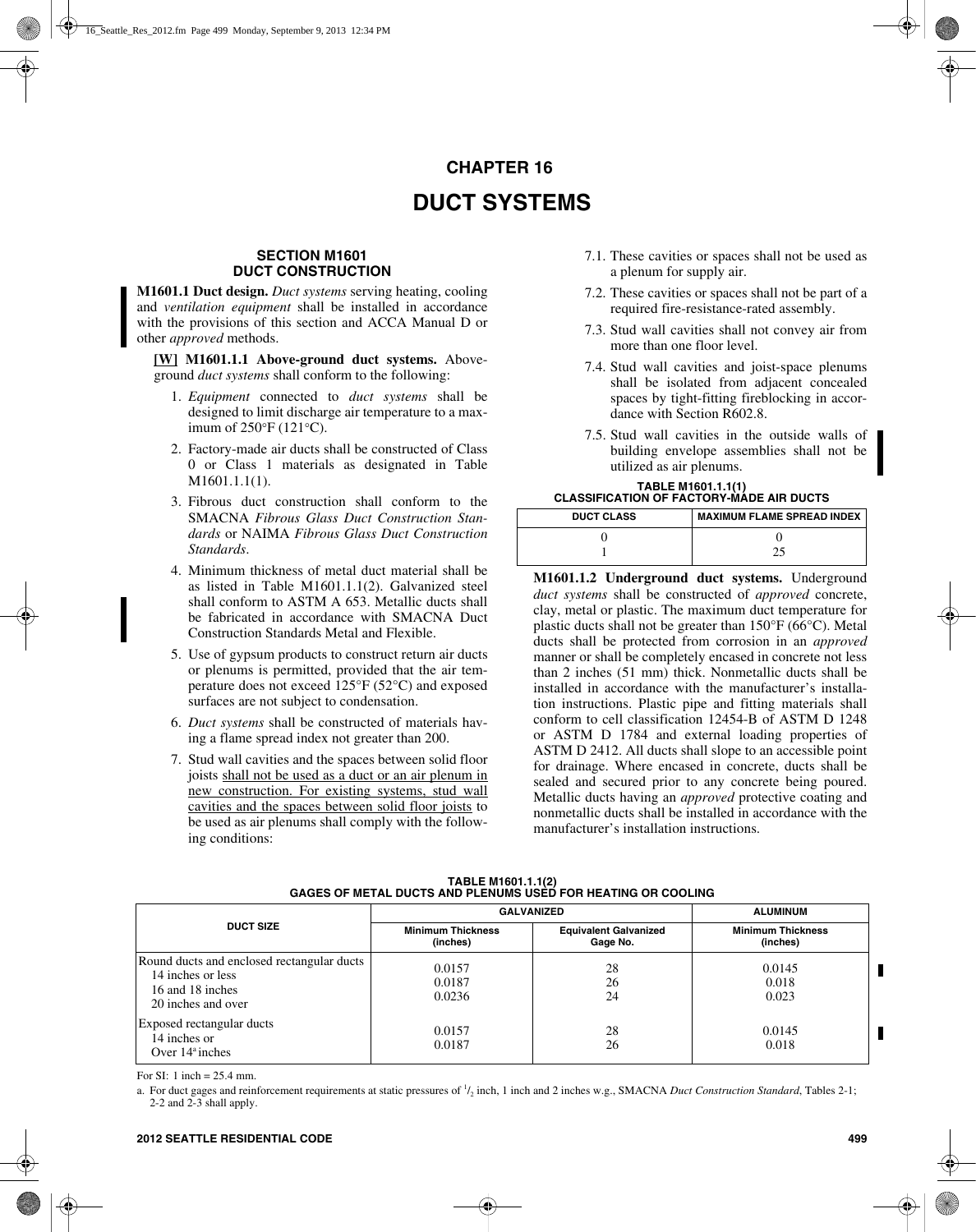# **CHAPTER 16**

# **DUCT SYSTEMS**

### **SECTION M1601 DUCT CONSTRUCTION**

**M1601.1 Duct design.** *Duct systems* serving heating, cooling and *ventilation equipment* shall be installed in accordance with the provisions of this section and ACCA Manual D or other *approved* methods.

**[W] M1601.1.1 Above-ground duct systems.** Aboveground *duct systems* shall conform to the following:

- 1. *Equipment* connected to *duct systems* shall be designed to limit discharge air temperature to a maximum of 250°F (121°C).
- 2. Factory-made air ducts shall be constructed of Class 0 or Class 1 materials as designated in Table M1601.1.1(1).
- 3. Fibrous duct construction shall conform to the SMACNA *Fibrous Glass Duct Construction Standards* or NAIMA *Fibrous Glass Duct Construction Standards*.
- 4. Minimum thickness of metal duct material shall be as listed in Table M1601.1.1(2). Galvanized steel shall conform to ASTM A 653. Metallic ducts shall be fabricated in accordance with SMACNA Duct Construction Standards Metal and Flexible.
- 5. Use of gypsum products to construct return air ducts or plenums is permitted, provided that the air temperature does not exceed 125°F (52°C) and exposed surfaces are not subject to condensation.
- 6. *Duct systems* shall be constructed of materials having a flame spread index not greater than 200.
- 7. Stud wall cavities and the spaces between solid floor joists shall not be used as a duct or an air plenum in new construction. For existing systems, stud wall cavities and the spaces between solid floor joists to be used as air plenums shall comply with the following conditions:
- 7.1. These cavities or spaces shall not be used as a plenum for supply air.
- 7.2. These cavities or spaces shall not be part of a required fire-resistance-rated assembly.
- 7.3. Stud wall cavities shall not convey air from more than one floor level.
- 7.4. Stud wall cavities and joist-space plenums shall be isolated from adjacent concealed spaces by tight-fitting fireblocking in accordance with Section R602.8.
- 7.5. Stud wall cavities in the outside walls of building envelope assemblies shall not be utilized as air plenums.

#### **TABLE M1601.1.1(1) CLASSIFICATION OF FACTORY-MADE AIR DUCTS**

| <b>DUCT CLASS</b> | <b>MAXIMUM FLAME SPREAD INDEX</b> |  |
|-------------------|-----------------------------------|--|
|                   |                                   |  |
|                   |                                   |  |

**M1601.1.2 Underground duct systems.** Underground *duct systems* shall be constructed of *approved* concrete, clay, metal or plastic. The maximum duct temperature for plastic ducts shall not be greater than 150°F (66°C). Metal ducts shall be protected from corrosion in an *approved* manner or shall be completely encased in concrete not less than 2 inches (51 mm) thick. Nonmetallic ducts shall be installed in accordance with the manufacturer's installation instructions. Plastic pipe and fitting materials shall conform to cell classification 12454-B of ASTM D 1248 or ASTM D 1784 and external loading properties of ASTM D 2412. All ducts shall slope to an accessible point for drainage. Where encased in concrete, ducts shall be sealed and secured prior to any concrete being poured. Metallic ducts having an *approved* protective coating and nonmetallic ducts shall be installed in accordance with the manufacturer's installation instructions.

| <b>DUCT SIZE</b>                                                                                          | <b>GALVANIZED</b>                    |                                          | <b>ALUMINUM</b>                      |  |
|-----------------------------------------------------------------------------------------------------------|--------------------------------------|------------------------------------------|--------------------------------------|--|
|                                                                                                           | <b>Minimum Thickness</b><br>(inches) | <b>Equivalent Galvanized</b><br>Gage No. | <b>Minimum Thickness</b><br>(inches) |  |
| Round ducts and enclosed rectangular ducts<br>14 inches or less<br>16 and 18 inches<br>20 inches and over | 0.0157<br>0.0187<br>0.0236           | 28<br>26<br>24                           | 0.0145<br>0.018<br>0.023             |  |
| Exposed rectangular ducts<br>14 inches or<br>Over $14^{\circ}$ inches                                     | 0.0157<br>0.0187                     | 28<br>26                                 | 0.0145<br>0.018                      |  |

**TABLE M1601.1.1(2) GAGES OF METAL DUCTS AND PLENUMS USED FOR HEATING OR COOLING**

For SI: 1 inch  $= 25.4$  mm.

a. For duct gages and reinforcement requirements at static pressures of  $1/2$  inch, 1 inch and 2 inches w.g., SMACNA *Duct Construction Standard*, Tables 2-1; 2-2 and 2-3 shall apply.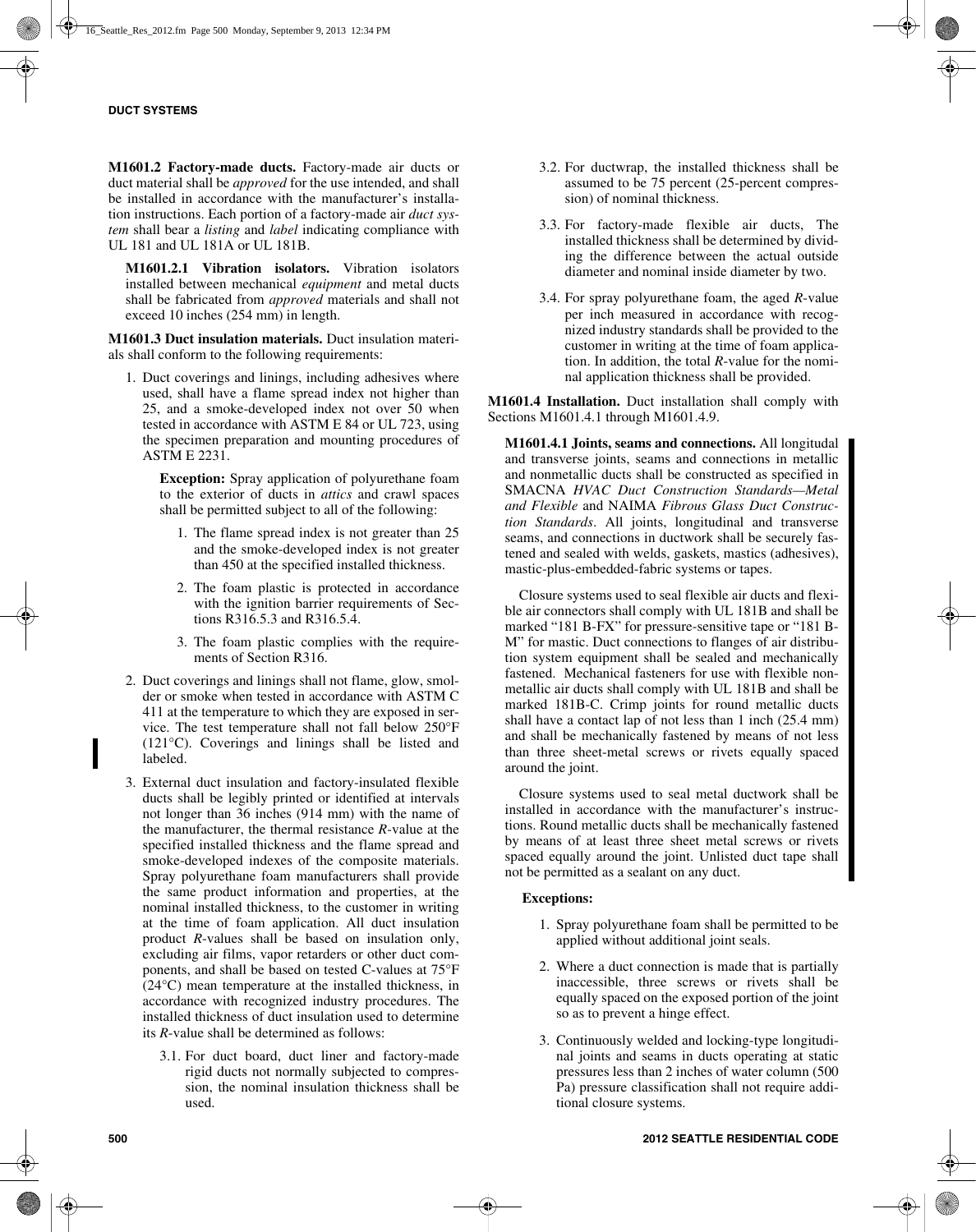**M1601.2 Factory-made ducts.** Factory-made air ducts or duct material shall be *approved* for the use intended, and shall be installed in accordance with the manufacturer's installation instructions. Each portion of a factory-made air *duct system* shall bear a *listing* and *label* indicating compliance with UL 181 and UL 181A or UL 181B.

**M1601.2.1 Vibration isolators.** Vibration isolators installed between mechanical *equipment* and metal ducts shall be fabricated from *approved* materials and shall not exceed 10 inches (254 mm) in length.

**M1601.3 Duct insulation materials.** Duct insulation materials shall conform to the following requirements:

1. Duct coverings and linings, including adhesives where used, shall have a flame spread index not higher than 25, and a smoke-developed index not over 50 when tested in accordance with ASTM E 84 or UL 723, using the specimen preparation and mounting procedures of ASTM E 2231.

**Exception:** Spray application of polyurethane foam to the exterior of ducts in *attics* and crawl spaces shall be permitted subject to all of the following:

- 1. The flame spread index is not greater than 25 and the smoke-developed index is not greater than 450 at the specified installed thickness.
- 2. The foam plastic is protected in accordance with the ignition barrier requirements of Sections R316.5.3 and R316.5.4.
- 3. The foam plastic complies with the requirements of Section R316.
- 2. Duct coverings and linings shall not flame, glow, smolder or smoke when tested in accordance with ASTM C 411 at the temperature to which they are exposed in service. The test temperature shall not fall below 250°F (121°C). Coverings and linings shall be listed and labeled.
- 3. External duct insulation and factory-insulated flexible ducts shall be legibly printed or identified at intervals not longer than 36 inches (914 mm) with the name of the manufacturer, the thermal resistance *R*-value at the specified installed thickness and the flame spread and smoke-developed indexes of the composite materials. Spray polyurethane foam manufacturers shall provide the same product information and properties, at the nominal installed thickness, to the customer in writing at the time of foam application. All duct insulation product *R*-values shall be based on insulation only, excluding air films, vapor retarders or other duct components, and shall be based on tested C-values at 75°F (24°C) mean temperature at the installed thickness, in accordance with recognized industry procedures. The installed thickness of duct insulation used to determine its *R*-value shall be determined as follows:
	- 3.1. For duct board, duct liner and factory-made rigid ducts not normally subjected to compression, the nominal insulation thickness shall be used.
- 3.2. For ductwrap, the installed thickness shall be assumed to be 75 percent (25-percent compression) of nominal thickness.
- 3.3. For factory-made flexible air ducts, The installed thickness shall be determined by dividing the difference between the actual outside diameter and nominal inside diameter by two.
- 3.4. For spray polyurethane foam, the aged *R*-value per inch measured in accordance with recognized industry standards shall be provided to the customer in writing at the time of foam application. In addition, the total *R*-value for the nominal application thickness shall be provided.

**M1601.4 Installation.** Duct installation shall comply with Sections M1601.4.1 through M1601.4.9.

**M1601.4.1 Joints, seams and connections.** All longitudal and transverse joints, seams and connections in metallic and nonmetallic ducts shall be constructed as specified in SMACNA *HVAC Duct Construction Standards—Metal and Flexible* and NAIMA *Fibrous Glass Duct Construction Standards*. All joints, longitudinal and transverse seams, and connections in ductwork shall be securely fastened and sealed with welds, gaskets, mastics (adhesives), mastic-plus-embedded-fabric systems or tapes.

Closure systems used to seal flexible air ducts and flexible air connectors shall comply with UL 181B and shall be marked "181 B-FX" for pressure-sensitive tape or "181 B-M" for mastic. Duct connections to flanges of air distribution system equipment shall be sealed and mechanically fastened. Mechanical fasteners for use with flexible nonmetallic air ducts shall comply with UL 181B and shall be marked 181B-C. Crimp joints for round metallic ducts shall have a contact lap of not less than 1 inch (25.4 mm) and shall be mechanically fastened by means of not less than three sheet-metal screws or rivets equally spaced around the joint.

Closure systems used to seal metal ductwork shall be installed in accordance with the manufacturer's instructions. Round metallic ducts shall be mechanically fastened by means of at least three sheet metal screws or rivets spaced equally around the joint. Unlisted duct tape shall not be permitted as a sealant on any duct.

## **Exceptions:**

- 1. Spray polyurethane foam shall be permitted to be applied without additional joint seals.
- 2. Where a duct connection is made that is partially inaccessible, three screws or rivets shall be equally spaced on the exposed portion of the joint so as to prevent a hinge effect.
- 3. Continuously welded and locking-type longitudinal joints and seams in ducts operating at static pressures less than 2 inches of water column (500 Pa) pressure classification shall not require additional closure systems.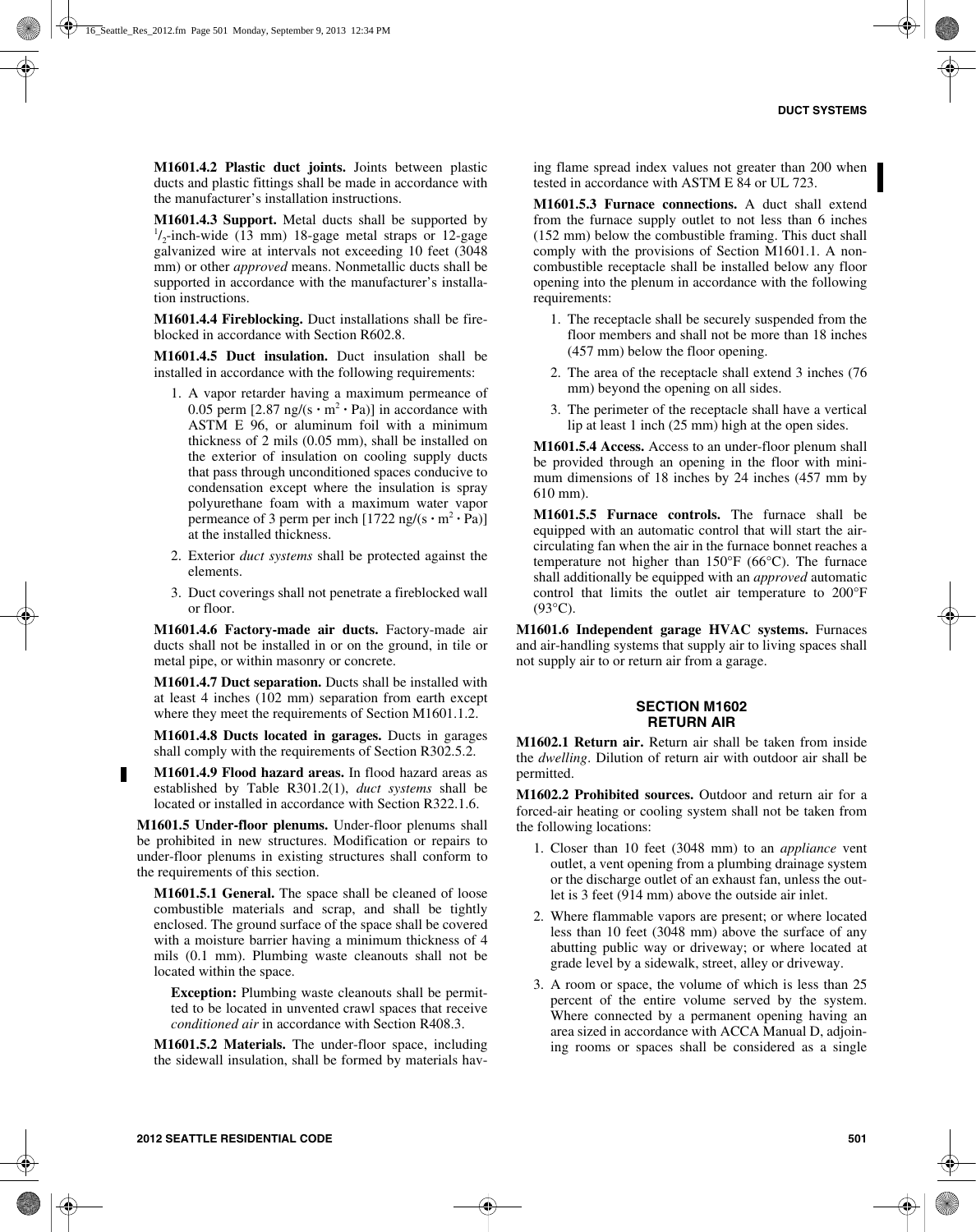**M1601.4.2 Plastic duct joints.** Joints between plastic ducts and plastic fittings shall be made in accordance with the manufacturer's installation instructions.

**M1601.4.3 Support.** Metal ducts shall be supported by  $\frac{1}{2}$ -inch-wide (13 mm) 18-gage metal straps or 12-gage galvanized wire at intervals not exceeding 10 feet (3048 mm) or other *approved* means. Nonmetallic ducts shall be supported in accordance with the manufacturer's installation instructions.

**M1601.4.4 Fireblocking.** Duct installations shall be fireblocked in accordance with Section R602.8.

**M1601.4.5 Duct insulation.** Duct insulation shall be installed in accordance with the following requirements:

- 1. A vapor retarder having a maximum permeance of 0.05 perm  $[2.87 \text{ ng/(s} \cdot \text{m}^2 \cdot \text{Pa})]$  in accordance with ASTM E 96, or aluminum foil with a minimum thickness of 2 mils (0.05 mm), shall be installed on the exterior of insulation on cooling supply ducts that pass through unconditioned spaces conducive to condensation except where the insulation is spray polyurethane foam with a maximum water vapor permeance of 3 perm per inch  $[1722 \text{ ng/(s} \cdot \text{m}^2 \cdot \text{Pa})]$ at the installed thickness.
- 2. Exterior *duct systems* shall be protected against the elements.
- 3. Duct coverings shall not penetrate a fireblocked wall or floor.

**M1601.4.6 Factory-made air ducts.** Factory-made air ducts shall not be installed in or on the ground, in tile or metal pipe, or within masonry or concrete.

**M1601.4.7 Duct separation.** Ducts shall be installed with at least 4 inches (102 mm) separation from earth except where they meet the requirements of Section M1601.1.2.

**M1601.4.8 Ducts located in garages.** Ducts in garages shall comply with the requirements of Section R302.5.2.

**M1601.4.9 Flood hazard areas.** In flood hazard areas as established by Table R301.2(1), *duct systems* shall be located or installed in accordance with Section R322.1.6.

**M1601.5 Under-floor plenums.** Under-floor plenums shall be prohibited in new structures. Modification or repairs to under-floor plenums in existing structures shall conform to the requirements of this section.

**M1601.5.1 General.** The space shall be cleaned of loose combustible materials and scrap, and shall be tightly enclosed. The ground surface of the space shall be covered with a moisture barrier having a minimum thickness of 4 mils (0.1 mm). Plumbing waste cleanouts shall not be located within the space.

**Exception:** Plumbing waste cleanouts shall be permitted to be located in unvented crawl spaces that receive *conditioned air* in accordance with Section R408.3.

**M1601.5.2 Materials.** The under-floor space, including the sidewall insulation, shall be formed by materials having flame spread index values not greater than 200 when tested in accordance with ASTM E 84 or UL 723.

**M1601.5.3 Furnace connections.** A duct shall extend from the furnace supply outlet to not less than 6 inches (152 mm) below the combustible framing. This duct shall comply with the provisions of Section M1601.1. A noncombustible receptacle shall be installed below any floor opening into the plenum in accordance with the following requirements:

- 1. The receptacle shall be securely suspended from the floor members and shall not be more than 18 inches (457 mm) below the floor opening.
- 2. The area of the receptacle shall extend 3 inches (76 mm) beyond the opening on all sides.
- 3. The perimeter of the receptacle shall have a vertical lip at least 1 inch (25 mm) high at the open sides.

**M1601.5.4 Access.** Access to an under-floor plenum shall be provided through an opening in the floor with minimum dimensions of 18 inches by 24 inches (457 mm by 610 mm).

**M1601.5.5 Furnace controls.** The furnace shall be equipped with an automatic control that will start the aircirculating fan when the air in the furnace bonnet reaches a temperature not higher than 150°F (66°C). The furnace shall additionally be equipped with an *approved* automatic control that limits the outlet air temperature to 200°F  $(93^{\circ}C)$ .

**M1601.6 Independent garage HVAC systems.** Furnaces and air-handling systems that supply air to living spaces shall not supply air to or return air from a garage.

#### **SECTION M1602 RETURN AIR**

**M1602.1 Return air.** Return air shall be taken from inside the *dwelling*. Dilution of return air with outdoor air shall be permitted.

**M1602.2 Prohibited sources.** Outdoor and return air for a forced-air heating or cooling system shall not be taken from the following locations:

- 1. Closer than 10 feet (3048 mm) to an *appliance* vent outlet, a vent opening from a plumbing drainage system or the discharge outlet of an exhaust fan, unless the outlet is 3 feet (914 mm) above the outside air inlet.
- 2. Where flammable vapors are present; or where located less than 10 feet (3048 mm) above the surface of any abutting public way or driveway; or where located at grade level by a sidewalk, street, alley or driveway.
- 3. A room or space, the volume of which is less than 25 percent of the entire volume served by the system. Where connected by a permanent opening having an area sized in accordance with ACCA Manual D, adjoining rooms or spaces shall be considered as a single